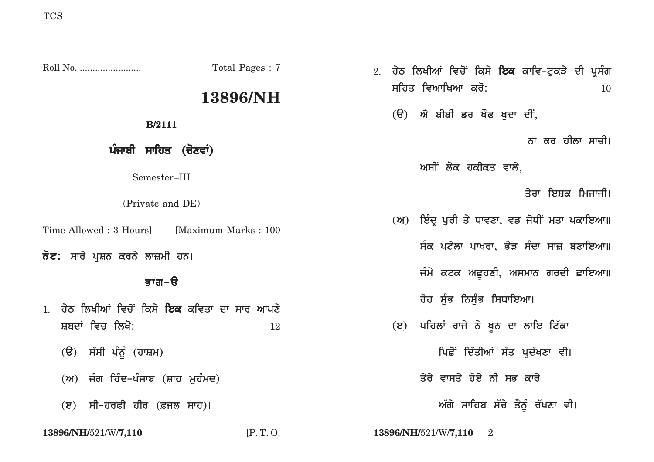|                                                                                                 | Total Pages: 7 | 2. ਹੇਠ ਲਿਖੀਆਂ ਵਿਚੋਂ ਕਿਸੇ ਇਕ ਕਾਵਿ-ਟੁਕੜੇ ਦੀ ਪ੍ਰਸੰਗ  |
|-------------------------------------------------------------------------------------------------|----------------|---------------------------------------------------|
|                                                                                                 | 13896/NH       | ਸਹਿਤ ਵਿਆਖਿਆ ਕਰੋ:<br><b>10</b>                     |
| <b>B</b> /2111                                                                                  |                | (ੳ) ਐ ਬੀਬੀ ਡਰ ਖੌਫ ਖੁਦਾ ਦੀਂ,                       |
| ਪੰਜਾਬੀ ਸਾਹਿਤ (ਚੋਣਵਾਂ)                                                                           |                | ਨਾ ਕਰ ਹੀਲਾ ਸਾਜ਼ੀ।                                 |
| Semester-III                                                                                    |                | ਅਸੀਂ ਲੋਕ ਹਕੀਕਤ ਵਾਲੇ,                              |
| (Private and DE)                                                                                |                | ਤੇਰਾ ਇਸ਼ਕ ਮਿਜਾਜੀ।                                 |
| Time Allowed: 3 Hours] [Maximum Marks: 100]<br><b>ਨੋਟ:</b> ਸਾਰੇ ਪ੍ਰਸ਼ਨ ਕਰਨੇ ਲਾਜ਼ਮੀ ਹਨ।<br>ਭਾਗ-ੳ |                | (ਅ) ਇੰਦ੍ਰ ਪੂਰੀ ਤੇ ਧਾਵਣਾ, ਵਡ ਜੋਧੀਂ ਮਤਾ ਪਕਾਇਆ॥      |
|                                                                                                 |                | ਸੰਕ ਪਟੇਲਾ ਪਾਖਰਾ, ਭੇੜ ਸੰਦਾ ਸਾਜ਼ ਬਣਾਇਆ॥             |
|                                                                                                 |                | ਜੰਮੇ ਕਟਕ ਅਛੁਹਣੀ, ਅਸਮਾਨ ਗਰਦੀ ਛਾਇਆ॥                 |
| 1. ਹੇਠ ਲਿਖੀਆਂ ਵਿਚੋਂ ਕਿਸੇ <b>ਇਕ</b> ਕਵਿਤਾ ਦਾ ਸਾਰ ਆਪਣੇ                                            |                | ਰੋਹ ਸੁੰਭ ਨਿਸੁੰਭ ਸਿਧਾਇਆ।                           |
| ਸ਼ਬਦਾਂ ਵਿਚ ਲਿਖੋ:                                                                                | 12             | ਪਹਿਲਾਂ ਰਾਜੇ ਨੇ ਖੂਨ ਦਾ ਲਾਇ ਟਿੱਕਾ<br>$(\mathbf{z})$ |
| (ੳ) ਸੱਸੀ ਪੁੰਨੂੰ (ਹਾਸ਼ਮ)                                                                         |                | ਪਿਛੋਂ ਦਿੱਤੀਆਂ ਸੱਤ ਪ੍ਰਦੱਖਣਾ ਵੀ।                    |
| (ਅ) ਜੰਗ ਹਿੰਦ-ਪੰਜਾਬ (ਸ਼ਾਹ ਮੁਹੰਮਦ)                                                                |                | ਤੇਰੇ ਵਾਸਤੇ ਹੋਏ ਨੀ ਸਭ ਕਾਰੇ                         |
| (ੲ) ਸੀ-ਹਰਫੀ ਹੀਰ (ਫ਼ਜਲ ਸ਼ਾਹ)।                                                                    |                | ਅੱਗੇ ਸਾਹਿਬ ਸੱਚੇ ਤੈਨੂੰ ਰੱਖਣਾ ਵੀ।                   |
| 13896/NH/521/W/7,110                                                                            | [P.T.O.        | 13896/NH/521/W/7,110<br>$\overline{2}$            |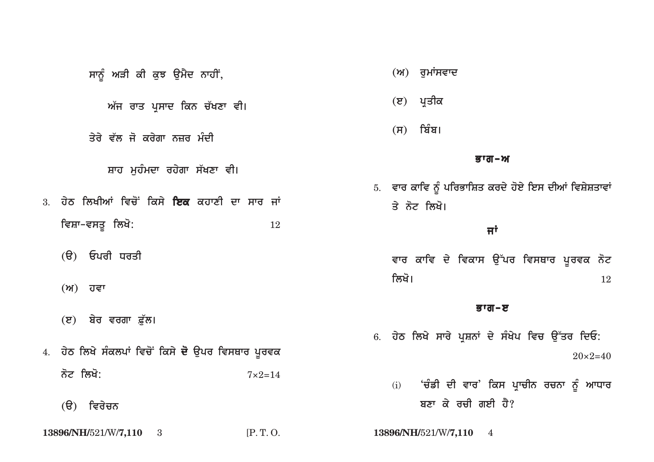| ਸਾਨੂੰ ਅੜੀ ਕੀ ਕੁਝ ਉਮੈਦ ਨਾਹੀਂ,                                   |
|----------------------------------------------------------------|
| ਅੱਜ ਰਾਤ ਪ੍ਰਸਾਦ ਕਿਨ ਚੱਖਣਾ ਵੀ।                                   |
| ਤੇਰੇ ਵੱਲ ਜੋ ਕਰੇਗਾ ਨਜ਼ਰ ਮੰਦੀ                                    |
| ਸ਼ਾਹ ਮੁਹੰਮਦਾ ਰਹੇਗਾ ਸੱਖਣਾ ਵੀ।                                   |
| <sub>3.</sub> ਹੇਠ ਲਿਖੀਆਂ ਵਿਚੋਂ ਕਿਸੇ <b>ਇਕ</b> ਕਹਾਣੀ ਦਾ ਸਾਰ ਜਾਂ |
| ਵਿਸ਼ਾ–ਵਸਤੁ ਲਿਖੋ:<br>12                                         |
| (ੳ) ਓਪਰੀ ਧਰਤ <u>ੀ</u>                                          |
| (ਅ) ਹਵਾ                                                        |
| (ੲ) ਬੇਰ ਵਰਗਾ ਫ਼ੁੱਲ।                                            |
| 4. ਹੇਠ ਲਿਖੇ ਸੰਕਲਪਾਂ ਵਿਚੋਂ ਕਿਸੇ ਦੋ ਉਪਰ ਵਿਸਥਾਰ ਪੂਰਵਕ             |
| ਨੋਟ ਲਿਖੋ:<br>$7 \times 2 = 14$                                 |
| (ੳ) ਵਿਰੇ <b>ਚ</b> ਨ                                            |

13896/NH/521/W/7,110 3

 $[P.T. O.$ 

- $(M)$  ਰੁਮਾਂਸਵਾਦ
- (ੲ) ਪ੍ਰਤੀਕ
- $(H)$  ਬਿੰਬ।

## ਭਾਗ-ਅ

5. ਵਾਰ ਕਾਵਿ ਨੂੰ ਪਰਿਭਾਸ਼ਿਤ ਕਰਦੇ ਹੋਏ ਇਸ ਦੀਆਂ ਵਿਸ਼ੇਸ਼ਤਾਵਾਂ ਤੇ ਨੋਟ ਲਿਖੋ।

## ਜਾਂ

ਵਾਰ ਕਾਵਿ ਦੇ ਵਿਕਾਸ ਉੱਪਰ ਵਿਸਥਾਰ ਪੂਰਵਕ ਨੋਟ ਲਿਖੋ। 12

## ਭਾਗ-ੲ

6. ਹੇਠ ਲਿਖੇ ਸਾਰੇ ਪ੍ਰਸ਼ਨਾਂ ਦੇ ਸੰਖੇਪ ਵਿਚ ਉੱਤਰ ਦਿਓ:  $20 \times 2 = 40$ 

(i) 'ਚੰਡੀ ਦੀ ਵਾਰ' ਕਿਸ ਪ੍ਰਾਚੀਨ ਰਚਨਾ ਨੂੰ ਆਧਾਰ ਬਣਾ ਕੇ ਰਚੀ ਗਈ ਹੈ?

13896/NH/521/W/7,110 4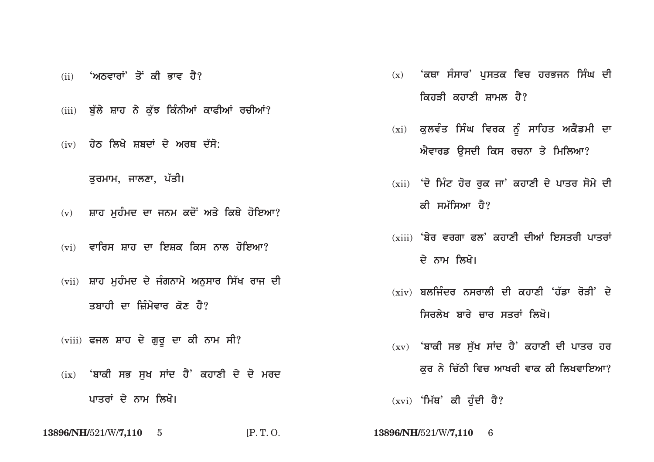- (ii) *'ਅ***ਨਵਾਰਾਂ' ਤੋਂ ਕੀ ਭਾਵ ਹੈ?**
- (iii) ਬੱਲੇ ਸ਼ਾਹ ਨੇ ਕੱਝ ਕਿੰਨੀਆਂ ਕਾਫੀਆਂ ਰਚੀਆਂ?
- (iv) **ਹੇਠ ਲਿਖੇ ਸ਼ਬਦਾਂ ਦੇ ਅਰਥ ਦੱਸੋ:**

ਤਰਮਾਮ, ਜਾਲਣਾ, **ਪੱਤੀ**।

- (v) ਸ਼ਾਹ ਮਹੰਮਦ ਦਾ ਜਨਮ ਕਦੋਂ ਅਤੇ ਕਿਥੇ ਹੋਇਆ?
- (vi) ਵਾਰਿਸ ਸ਼ਾਹ ਦਾ ਇਸ਼ਕ ਕਿਸ ਨਾਲ ਹੋਇਆ?
- (vii) ਸ਼ਾਹ ਮੁਹੰਮਦ ਦੇ ਜੰਗਨਾਮੇ ਅਨੁਸਾਰ ਸਿੱਖ ਰਾਜ ਦੀ ਤਬਾਹੀ ਦਾ ਜ਼ਿੰਮੇਵਾਰ ਕੋਣ ਹੈ?
- (viii) ਫਜਲ ਸ਼ਾਹ ਦੇ ਗੁਰੂ ਦਾ ਕੀ ਨਾਮ ਸੀ?
- (ix) **'ਬਾਕੀ ਸਭ ਸਖ ਸਾਂਦ ਹੈ' ਕਹਾਣੀ ਦੇ ਦੋ ਮਰਦ** <u>ਪਾਤਰਾਂ ਦੇ ਨਾਮ ਲਿਖੋ।</u>

**13896/NH/**521/W/**7,110** 5 [P. T. O. **13896/NH/**521/W/**7,110** 6

- (x) <mark>'ਕਥਾ ਸੰਸਾਰ' ਪਸਤਕ ਵਿਚ ਹਰਭਜਨ ਸਿੰਘ ਦੀ</mark> ਕਿਹਤੀ ਕਹਾਣੀ ਸ਼ਾਮਲ ਹੈ?
- (xi) ਕੁਲਵੰਤ ਸਿੰਘ ਵਿਰਕ ਨੂੰ ਸਾਹਿਤ ਅਕੈਡਮੀ ਦਾ ਅੈਵਾਰਡ **ੳਸਦੀ ਕਿਸ ਰਚਨਾ ਤੇ ਮਿਲਿਆ**?
- (xii) 'ਦੋ ਮਿੰਟ ਹੋਰ ਰਕ ਜਾ' ਕਹਾਣੀ ਦੇ ਪਾਤਰ ਸੋਮੇ ਦੀ *ਕੀ* ਸਮੱਸਿਆ ਹੈ?
- (xiii) 'ਬੇਰ ਵਰਗਾ ਫਲ' ਕਹਾਣੀ ਦੀਆਂ ਇਸਤਰੀ ਪਾਤਰਾ<u>ਂ</u> ਦੇ ਨਾਮ ਲਿਖੋ।
- (xiv) **ਸ਼ਲਜ਼ਿੰਦਰ ਨਸ਼ਰਾਲੀ ਦੀ ਕਹਾਣੀ 'ਹੱਡਾ ਰੋਤੀ' ਦੇ** ਸਿਰਲੇਖ ਬਾਰੇ **ਚਾਰ ਸਤਰਾਂ ਲਿਖੋ**।
- (xv) **'ਬਾਕੀ ਸਭ ਸੱਖ ਸਾਂਦ ਹੈ**' ਕਹਾਣੀ ਦੀ ਪਾਤਰ ਹਰ <u>ਕਰ ਨੇ ਚਿੱਠੀ ਵਿਚ ਆਖਰੀ ਵਾਕ ਕੀ ਲਿਖਵਾਇਆ?</u>
- (xvi) 'ਮਿੱਥ' ਕੀ ਹੁੰਦੀ ਹੈ?
-